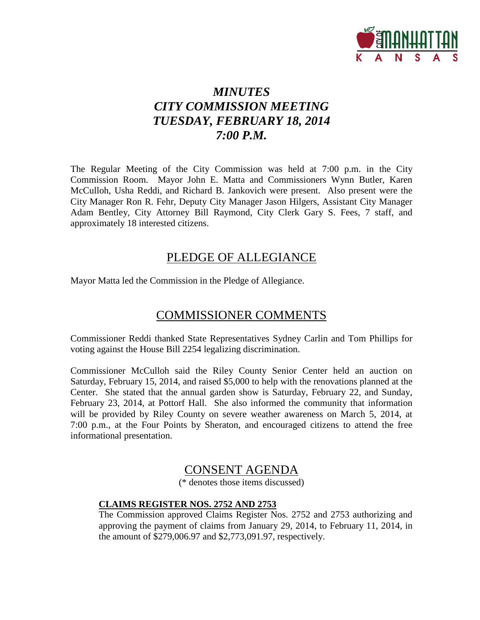

# *MINUTES CITY COMMISSION MEETING TUESDAY, FEBRUARY 18, 2014 7:00 P.M.*

The Regular Meeting of the City Commission was held at 7:00 p.m. in the City Commission Room. Mayor John E. Matta and Commissioners Wynn Butler, Karen McCulloh, Usha Reddi, and Richard B. Jankovich were present. Also present were the City Manager Ron R. Fehr, Deputy City Manager Jason Hilgers, Assistant City Manager Adam Bentley, City Attorney Bill Raymond, City Clerk Gary S. Fees, 7 staff, and approximately 18 interested citizens.

## PLEDGE OF ALLEGIANCE

Mayor Matta led the Commission in the Pledge of Allegiance.

# COMMISSIONER COMMENTS

Commissioner Reddi thanked State Representatives Sydney Carlin and Tom Phillips for voting against the House Bill 2254 legalizing discrimination.

Commissioner McCulloh said the Riley County Senior Center held an auction on Saturday, February 15, 2014, and raised \$5,000 to help with the renovations planned at the Center. She stated that the annual garden show is Saturday, February 22, and Sunday, February 23, 2014, at Pottorf Hall. She also informed the community that information will be provided by Riley County on severe weather awareness on March 5, 2014, at 7:00 p.m., at the Four Points by Sheraton, and encouraged citizens to attend the free informational presentation.

# CONSENT AGENDA

(\* denotes those items discussed)

## **CLAIMS REGISTER NOS. 2752 AND 2753**

The Commission approved Claims Register Nos. 2752 and 2753 authorizing and approving the payment of claims from January 29, 2014, to February 11, 2014, in the amount of \$279,006.97 and \$2,773,091.97, respectively.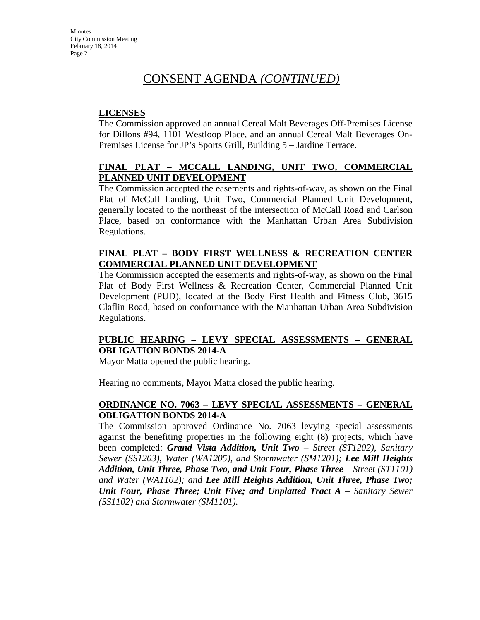## **LICENSES**

The Commission approved an annual Cereal Malt Beverages Off-Premises License for Dillons #94, 1101 Westloop Place, and an annual Cereal Malt Beverages On-Premises License for JP's Sports Grill, Building 5 – Jardine Terrace.

## **FINAL PLAT – MCCALL LANDING, UNIT TWO, COMMERCIAL PLANNED UNIT DEVELOPMENT**

The Commission accepted the easements and rights-of-way, as shown on the Final Plat of McCall Landing, Unit Two, Commercial Planned Unit Development, generally located to the northeast of the intersection of McCall Road and Carlson Place, based on conformance with the Manhattan Urban Area Subdivision Regulations.

#### **FINAL PLAT – BODY FIRST WELLNESS & RECREATION CENTER COMMERCIAL PLANNED UNIT DEVELOPMENT**

The Commission accepted the easements and rights-of-way, as shown on the Final Plat of Body First Wellness & Recreation Center, Commercial Planned Unit Development (PUD), located at the Body First Health and Fitness Club, 3615 Claflin Road, based on conformance with the Manhattan Urban Area Subdivision Regulations.

## **PUBLIC HEARING – LEVY SPECIAL ASSESSMENTS – GENERAL OBLIGATION BONDS 2014-A**

Mayor Matta opened the public hearing.

Hearing no comments, Mayor Matta closed the public hearing.

## **ORDINANCE NO. 7063 – LEVY SPECIAL ASSESSMENTS – GENERAL OBLIGATION BONDS 2014-A**

The Commission approved Ordinance No. 7063 levying special assessments against the benefiting properties in the following eight (8) projects, which have been completed: *Grand Vista Addition, Unit Two – Street (ST1202), Sanitary Sewer (SS1203), Water (WA1205), and Stormwater (SM1201); Lee Mill Heights Addition, Unit Three, Phase Two, and Unit Four, Phase Three – Street (ST1101) and Water (WA1102); and Lee Mill Heights Addition, Unit Three, Phase Two; Unit Four, Phase Three; Unit Five; and Unplatted Tract A – Sanitary Sewer (SS1102) and Stormwater (SM1101).*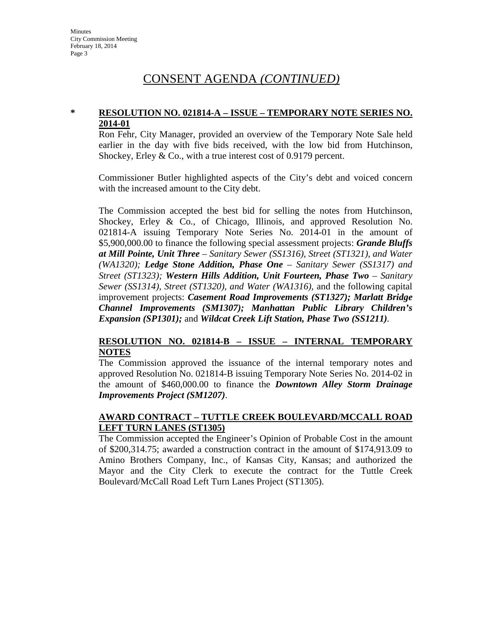#### **\* RESOLUTION NO. 021814-A – ISSUE – TEMPORARY NOTE SERIES NO. 2014-01**

Ron Fehr, City Manager, provided an overview of the Temporary Note Sale held earlier in the day with five bids received, with the low bid from Hutchinson, Shockey, Erley & Co., with a true interest cost of 0.9179 percent.

Commissioner Butler highlighted aspects of the City's debt and voiced concern with the increased amount to the City debt.

The Commission accepted the best bid for selling the notes from Hutchinson, Shockey, Erley & Co., of Chicago, Illinois, and approved Resolution No. 021814-A issuing Temporary Note Series No. 2014-01 in the amount of \$5,900,000.00 to finance the following special assessment projects: *Grande Bluffs at Mill Pointe, Unit Three – Sanitary Sewer (SS1316), Street (ST1321), and Water (WA1320); Ledge Stone Addition, Phase One – Sanitary Sewer (SS1317) and Street (ST1323); Western Hills Addition, Unit Fourteen, Phase Two – Sanitary Sewer (SS1314), Street (ST1320), and Water (WA1316),* and the following capital improvement projects: *Casement Road Improvements (ST1327); Marlatt Bridge Channel Improvements (SM1307); Manhattan Public Library Children's Expansion (SP1301);* and *Wildcat Creek Lift Station, Phase Two (SS1211).* 

#### **RESOLUTION NO. 021814-B – ISSUE – INTERNAL TEMPORARY NOTES**

The Commission approved the issuance of the internal temporary notes and approved Resolution No. 021814-B issuing Temporary Note Series No. 2014-02 in the amount of \$460,000.00 to finance the *Downtown Alley Storm Drainage Improvements Project (SM1207)*.

#### **AWARD CONTRACT – TUTTLE CREEK BOULEVARD/MCCALL ROAD LEFT TURN LANES (ST1305)**

The Commission accepted the Engineer's Opinion of Probable Cost in the amount of \$200,314.75; awarded a construction contract in the amount of \$174,913.09 to Amino Brothers Company, Inc., of Kansas City, Kansas; and authorized the Mayor and the City Clerk to execute the contract for the Tuttle Creek Boulevard/McCall Road Left Turn Lanes Project (ST1305).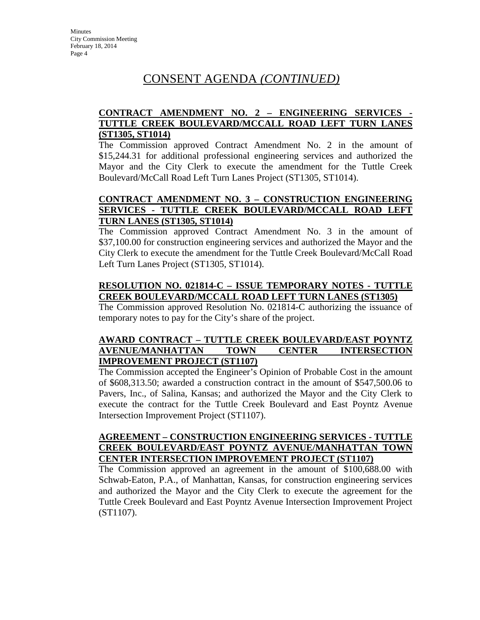## **CONTRACT AMENDMENT NO. 2 – ENGINEERING SERVICES - TUTTLE CREEK BOULEVARD/MCCALL ROAD LEFT TURN LANES (ST1305, ST1014)**

The Commission approved Contract Amendment No. 2 in the amount of \$15,244.31 for additional professional engineering services and authorized the Mayor and the City Clerk to execute the amendment for the Tuttle Creek Boulevard/McCall Road Left Turn Lanes Project (ST1305, ST1014).

## **CONTRACT AMENDMENT NO. 3 – CONSTRUCTION ENGINEERING SERVICES - TUTTLE CREEK BOULEVARD/MCCALL ROAD LEFT TURN LANES (ST1305, ST1014)**

The Commission approved Contract Amendment No. 3 in the amount of \$37,100.00 for construction engineering services and authorized the Mayor and the City Clerk to execute the amendment for the Tuttle Creek Boulevard/McCall Road Left Turn Lanes Project (ST1305, ST1014).

#### **RESOLUTION NO. 021814-C – ISSUE TEMPORARY NOTES - TUTTLE CREEK BOULEVARD/MCCALL ROAD LEFT TURN LANES (ST1305)**

The Commission approved Resolution No. 021814-C authorizing the issuance of temporary notes to pay for the City's share of the project.

#### **AWARD CONTRACT – TUTTLE CREEK BOULEVARD/EAST POYNTZ AVENUE/MANHATTAN TOWN CENTER INTERSECTION IMPROVEMENT PROJECT (ST1107)**

The Commission accepted the Engineer's Opinion of Probable Cost in the amount of \$608,313.50; awarded a construction contract in the amount of \$547,500.06 to Pavers, Inc., of Salina, Kansas; and authorized the Mayor and the City Clerk to execute the contract for the Tuttle Creek Boulevard and East Poyntz Avenue Intersection Improvement Project (ST1107).

#### **AGREEMENT – CONSTRUCTION ENGINEERING SERVICES - TUTTLE CREEK BOULEVARD/EAST POYNTZ AVENUE/MANHATTAN TOWN CENTER INTERSECTION IMPROVEMENT PROJECT (ST1107)**

The Commission approved an agreement in the amount of \$100,688.00 with Schwab-Eaton, P.A., of Manhattan, Kansas, for construction engineering services and authorized the Mayor and the City Clerk to execute the agreement for the Tuttle Creek Boulevard and East Poyntz Avenue Intersection Improvement Project (ST1107).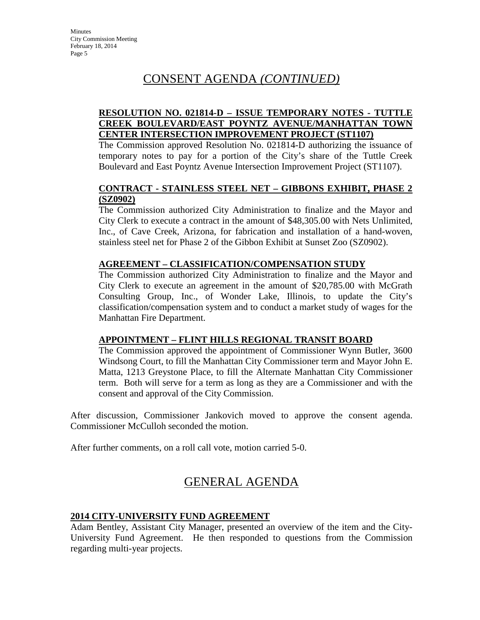## **RESOLUTION NO. 021814-D – ISSUE TEMPORARY NOTES - TUTTLE CREEK BOULEVARD/EAST POYNTZ AVENUE/MANHATTAN TOWN CENTER INTERSECTION IMPROVEMENT PROJECT (ST1107)**

The Commission approved Resolution No. 021814-D authorizing the issuance of temporary notes to pay for a portion of the City's share of the Tuttle Creek Boulevard and East Poyntz Avenue Intersection Improvement Project (ST1107).

## **CONTRACT - STAINLESS STEEL NET – GIBBONS EXHIBIT, PHASE 2 (SZ0902)**

The Commission authorized City Administration to finalize and the Mayor and City Clerk to execute a contract in the amount of \$48,305.00 with Nets Unlimited, Inc., of Cave Creek, Arizona, for fabrication and installation of a hand-woven, stainless steel net for Phase 2 of the Gibbon Exhibit at Sunset Zoo (SZ0902).

## **AGREEMENT – CLASSIFICATION/COMPENSATION STUDY**

The Commission authorized City Administration to finalize and the Mayor and City Clerk to execute an agreement in the amount of \$20,785.00 with McGrath Consulting Group, Inc., of Wonder Lake, Illinois, to update the City's classification/compensation system and to conduct a market study of wages for the Manhattan Fire Department.

## **APPOINTMENT – FLINT HILLS REGIONAL TRANSIT BOARD**

The Commission approved the appointment of Commissioner Wynn Butler, 3600 Windsong Court, to fill the Manhattan City Commissioner term and Mayor John E. Matta, 1213 Greystone Place, to fill the Alternate Manhattan City Commissioner term. Both will serve for a term as long as they are a Commissioner and with the consent and approval of the City Commission.

After discussion, Commissioner Jankovich moved to approve the consent agenda. Commissioner McCulloh seconded the motion.

After further comments, on a roll call vote, motion carried 5-0.

# GENERAL AGENDA

## **2014 CITY-UNIVERSITY FUND AGREEMENT**

Adam Bentley, Assistant City Manager, presented an overview of the item and the City-University Fund Agreement. He then responded to questions from the Commission regarding multi-year projects.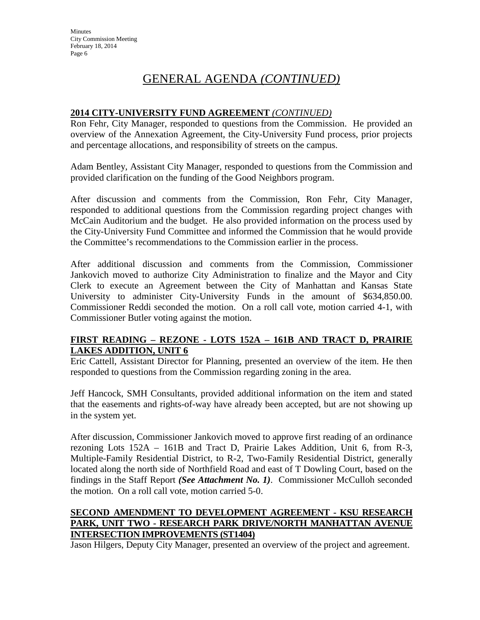# GENERAL AGENDA *(CONTINUED)*

## **2014 CITY-UNIVERSITY FUND AGREEMENT** *(CONTINUED)*

Ron Fehr, City Manager, responded to questions from the Commission. He provided an overview of the Annexation Agreement, the City-University Fund process, prior projects and percentage allocations, and responsibility of streets on the campus.

Adam Bentley, Assistant City Manager, responded to questions from the Commission and provided clarification on the funding of the Good Neighbors program.

After discussion and comments from the Commission, Ron Fehr, City Manager, responded to additional questions from the Commission regarding project changes with McCain Auditorium and the budget. He also provided information on the process used by the City-University Fund Committee and informed the Commission that he would provide the Committee's recommendations to the Commission earlier in the process.

After additional discussion and comments from the Commission, Commissioner Jankovich moved to authorize City Administration to finalize and the Mayor and City Clerk to execute an Agreement between the City of Manhattan and Kansas State University to administer City-University Funds in the amount of \$634,850.00. Commissioner Reddi seconded the motion. On a roll call vote, motion carried 4-1, with Commissioner Butler voting against the motion.

## **FIRST READING – REZONE - LOTS 152A – 161B AND TRACT D, PRAIRIE LAKES ADDITION, UNIT 6**

Eric Cattell, Assistant Director for Planning, presented an overview of the item. He then responded to questions from the Commission regarding zoning in the area.

Jeff Hancock, SMH Consultants, provided additional information on the item and stated that the easements and rights-of-way have already been accepted, but are not showing up in the system yet.

After discussion, Commissioner Jankovich moved to approve first reading of an ordinance rezoning Lots 152A – 161B and Tract D, Prairie Lakes Addition, Unit 6, from R-3, Multiple-Family Residential District, to R-2, Two-Family Residential District, generally located along the north side of Northfield Road and east of T Dowling Court, based on the findings in the Staff Report *(See Attachment No. 1)*. Commissioner McCulloh seconded the motion. On a roll call vote, motion carried 5-0.

## **SECOND AMENDMENT TO DEVELOPMENT AGREEMENT - KSU RESEARCH PARK, UNIT TWO - RESEARCH PARK DRIVE/NORTH MANHATTAN AVENUE INTERSECTION IMPROVEMENTS (ST1404)**

Jason Hilgers, Deputy City Manager, presented an overview of the project and agreement.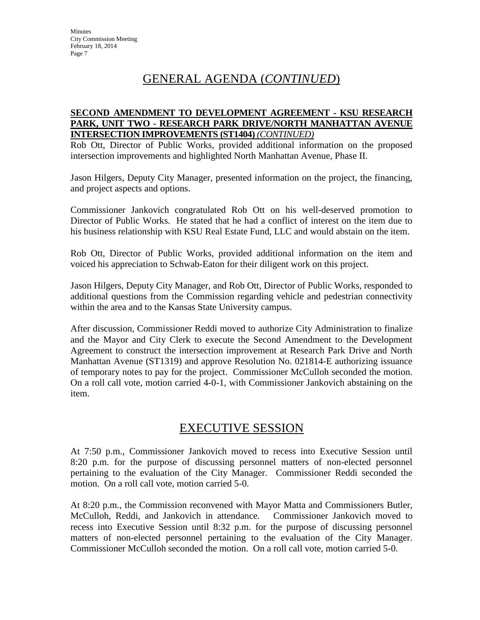# GENERAL AGENDA (*CONTINUED*)

#### **SECOND AMENDMENT TO DEVELOPMENT AGREEMENT - KSU RESEARCH PARK, UNIT TWO - RESEARCH PARK DRIVE/NORTH MANHATTAN AVENUE INTERSECTION IMPROVEMENTS (ST1404)** *(CONTINUED)*

Rob Ott, Director of Public Works, provided additional information on the proposed intersection improvements and highlighted North Manhattan Avenue, Phase II.

Jason Hilgers, Deputy City Manager, presented information on the project, the financing, and project aspects and options.

Commissioner Jankovich congratulated Rob Ott on his well-deserved promotion to Director of Public Works. He stated that he had a conflict of interest on the item due to his business relationship with KSU Real Estate Fund, LLC and would abstain on the item.

Rob Ott, Director of Public Works, provided additional information on the item and voiced his appreciation to Schwab-Eaton for their diligent work on this project.

Jason Hilgers, Deputy City Manager, and Rob Ott, Director of Public Works, responded to additional questions from the Commission regarding vehicle and pedestrian connectivity within the area and to the Kansas State University campus.

After discussion, Commissioner Reddi moved to authorize City Administration to finalize and the Mayor and City Clerk to execute the Second Amendment to the Development Agreement to construct the intersection improvement at Research Park Drive and North Manhattan Avenue (ST1319) and approve Resolution No. 021814-E authorizing issuance of temporary notes to pay for the project. Commissioner McCulloh seconded the motion. On a roll call vote, motion carried 4-0-1, with Commissioner Jankovich abstaining on the item.

# EXECUTIVE SESSION

At 7:50 p.m., Commissioner Jankovich moved to recess into Executive Session until 8:20 p.m. for the purpose of discussing personnel matters of non-elected personnel pertaining to the evaluation of the City Manager. Commissioner Reddi seconded the motion. On a roll call vote, motion carried 5-0.

At 8:20 p.m., the Commission reconvened with Mayor Matta and Commissioners Butler, McCulloh, Reddi, and Jankovich in attendance. Commissioner Jankovich moved to recess into Executive Session until 8:32 p.m. for the purpose of discussing personnel matters of non-elected personnel pertaining to the evaluation of the City Manager. Commissioner McCulloh seconded the motion. On a roll call vote, motion carried 5-0.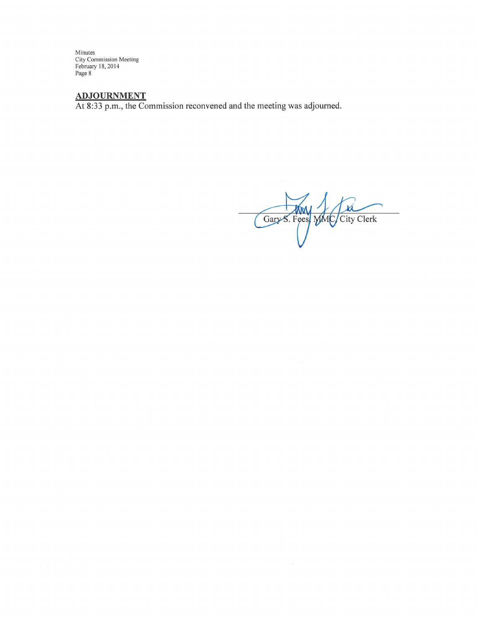Minutes<br>City Commission Meeting<br>February 18, 2014<br>Page 8

ADJOURNMENT<br>At 8:33 p.m., the Commission reconvened and the meeting was adjourned.

Gary S. Feest MMC/City Clerk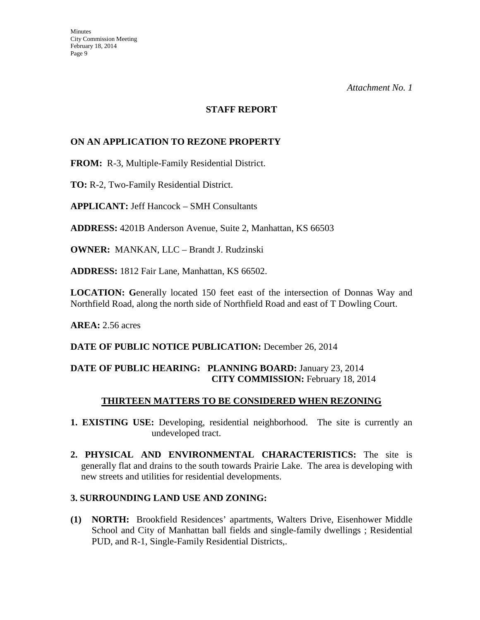#### **STAFF REPORT**

## **ON AN APPLICATION TO REZONE PROPERTY**

**FROM:** R-3, Multiple-Family Residential District.

**TO:** R-2, Two-Family Residential District.

**APPLICANT:** Jeff Hancock – SMH Consultants

**ADDRESS:** 4201B Anderson Avenue, Suite 2, Manhattan, KS 66503

**OWNER:** MANKAN, LLC – Brandt J. Rudzinski

**ADDRESS:** 1812 Fair Lane, Manhattan, KS 66502.

**LOCATION: G**enerally located 150 feet east of the intersection of Donnas Way and Northfield Road, along the north side of Northfield Road and east of T Dowling Court.

**AREA:** 2.56 acres

#### DATE OF PUBLIC NOTICE PUBLICATION: December 26, 2014

## **DATE OF PUBLIC HEARING: PLANNING BOARD:** January 23, 2014 **CITY COMMISSION:** February 18, 2014

## **THIRTEEN MATTERS TO BE CONSIDERED WHEN REZONING**

- **1. EXISTING USE:** Developing, residential neighborhood. The site is currently an undeveloped tract.
- **2. PHYSICAL AND ENVIRONMENTAL CHARACTERISTICS:** The site is generally flat and drains to the south towards Prairie Lake. The area is developing with new streets and utilities for residential developments.

#### **3. SURROUNDING LAND USE AND ZONING:**

**(1) NORTH:** Brookfield Residences' apartments, Walters Drive, Eisenhower Middle School and City of Manhattan ball fields and single-family dwellings ; Residential PUD, and R-1, Single-Family Residential Districts,.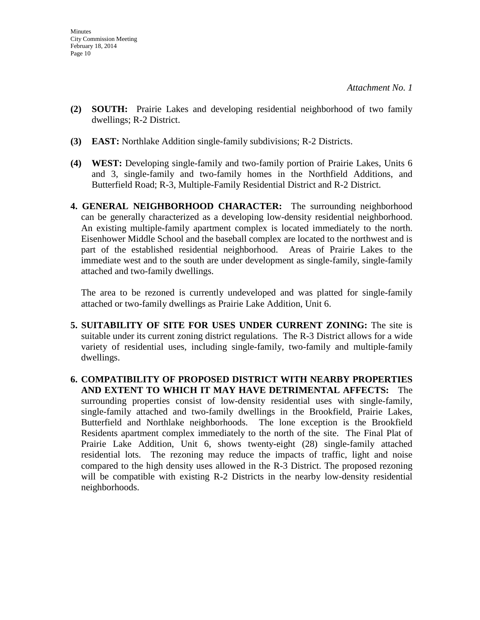- **(2) SOUTH:** Prairie Lakes and developing residential neighborhood of two family dwellings; R-2 District.
- **(3) EAST:** Northlake Addition single-family subdivisions; R-2 Districts.
- **(4) WEST:** Developing single-family and two-family portion of Prairie Lakes, Units 6 and 3, single-family and two-family homes in the Northfield Additions, and Butterfield Road; R-3, Multiple-Family Residential District and R-2 District.
- **4. GENERAL NEIGHBORHOOD CHARACTER:** The surrounding neighborhood can be generally characterized as a developing low-density residential neighborhood. An existing multiple-family apartment complex is located immediately to the north. Eisenhower Middle School and the baseball complex are located to the northwest and is part of the established residential neighborhood. Areas of Prairie Lakes to the immediate west and to the south are under development as single-family, single-family attached and two-family dwellings.

The area to be rezoned is currently undeveloped and was platted for single-family attached or two-family dwellings as Prairie Lake Addition, Unit 6.

- **5. SUITABILITY OF SITE FOR USES UNDER CURRENT ZONING:** The site is suitable under its current zoning district regulations. The R-3 District allows for a wide variety of residential uses, including single-family, two-family and multiple-family dwellings.
- **6. COMPATIBILITY OF PROPOSED DISTRICT WITH NEARBY PROPERTIES AND EXTENT TO WHICH IT MAY HAVE DETRIMENTAL AFFECTS:** The surrounding properties consist of low-density residential uses with single-family, single-family attached and two-family dwellings in the Brookfield, Prairie Lakes, Butterfield and Northlake neighborhoods. The lone exception is the Brookfield Residents apartment complex immediately to the north of the site. The Final Plat of Prairie Lake Addition, Unit 6, shows twenty-eight (28) single-family attached residential lots. The rezoning may reduce the impacts of traffic, light and noise compared to the high density uses allowed in the R-3 District. The proposed rezoning will be compatible with existing R-2 Districts in the nearby low-density residential neighborhoods.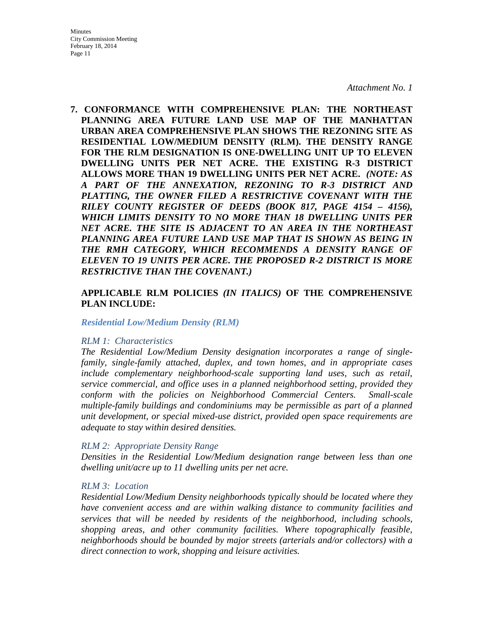**7. CONFORMANCE WITH COMPREHENSIVE PLAN: THE NORTHEAST PLANNING AREA FUTURE LAND USE MAP OF THE MANHATTAN URBAN AREA COMPREHENSIVE PLAN SHOWS THE REZONING SITE AS RESIDENTIAL LOW/MEDIUM DENSITY (RLM). THE DENSITY RANGE FOR THE RLM DESIGNATION IS ONE-DWELLING UNIT UP TO ELEVEN DWELLING UNITS PER NET ACRE. THE EXISTING R-3 DISTRICT ALLOWS MORE THAN 19 DWELLING UNITS PER NET ACRE.** *(NOTE: AS A PART OF THE ANNEXATION, REZONING TO R-3 DISTRICT AND PLATTING, THE OWNER FILED A RESTRICTIVE COVENANT WITH THE RILEY COUNTY REGISTER OF DEEDS (BOOK 817, PAGE 4154 – 4156), WHICH LIMITS DENSITY TO NO MORE THAN 18 DWELLING UNITS PER NET ACRE. THE SITE IS ADJACENT TO AN AREA IN THE NORTHEAST PLANNING AREA FUTURE LAND USE MAP THAT IS SHOWN AS BEING IN THE RMH CATEGORY, WHICH RECOMMENDS A DENSITY RANGE OF ELEVEN TO 19 UNITS PER ACRE. THE PROPOSED R-2 DISTRICT IS MORE RESTRICTIVE THAN THE COVENANT.)*

#### **APPLICABLE RLM POLICIES** *(IN ITALICS)* **OF THE COMPREHENSIVE PLAN INCLUDE:**

#### *Residential Low/Medium Density (RLM)*

#### *RLM 1: Characteristics*

*The Residential Low/Medium Density designation incorporates a range of singlefamily, single-family attached, duplex, and town homes, and in appropriate cases include complementary neighborhood-scale supporting land uses, such as retail, service commercial, and office uses in a planned neighborhood setting, provided they conform with the policies on Neighborhood Commercial Centers. Small-scale multiple-family buildings and condominiums may be permissible as part of a planned unit development, or special mixed-use district, provided open space requirements are adequate to stay within desired densities.* 

#### *RLM 2: Appropriate Density Range*

*Densities in the Residential Low/Medium designation range between less than one dwelling unit/acre up to 11 dwelling units per net acre.* 

#### *RLM 3: Location*

*Residential Low/Medium Density neighborhoods typically should be located where they have convenient access and are within walking distance to community facilities and services that will be needed by residents of the neighborhood, including schools, shopping areas, and other community facilities. Where topographically feasible, neighborhoods should be bounded by major streets (arterials and/or collectors) with a direct connection to work, shopping and leisure activities.*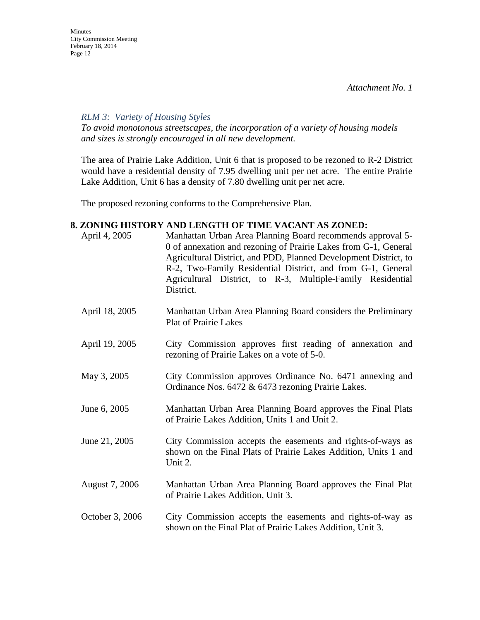*RLM 3: Variety of Housing Styles* 

*To avoid monotonous streetscapes, the incorporation of a variety of housing models and sizes is strongly encouraged in all new development.* 

The area of Prairie Lake Addition, Unit 6 that is proposed to be rezoned to R-2 District would have a residential density of 7.95 dwelling unit per net acre. The entire Prairie Lake Addition, Unit 6 has a density of 7.80 dwelling unit per net acre.

The proposed rezoning conforms to the Comprehensive Plan.

## **8. ZONING HISTORY AND LENGTH OF TIME VACANT AS ZONED:**

| April 4, 2005   | Manhattan Urban Area Planning Board recommends approval 5-<br>0 of annexation and rezoning of Prairie Lakes from G-1, General<br>Agricultural District, and PDD, Planned Development District, to<br>R-2, Two-Family Residential District, and from G-1, General<br>Agricultural District, to R-3, Multiple-Family Residential<br>District. |
|-----------------|---------------------------------------------------------------------------------------------------------------------------------------------------------------------------------------------------------------------------------------------------------------------------------------------------------------------------------------------|
| April 18, 2005  | Manhattan Urban Area Planning Board considers the Preliminary<br><b>Plat of Prairie Lakes</b>                                                                                                                                                                                                                                               |
| April 19, 2005  | City Commission approves first reading of annexation and<br>rezoning of Prairie Lakes on a vote of 5-0.                                                                                                                                                                                                                                     |
| May 3, 2005     | City Commission approves Ordinance No. 6471 annexing and<br>Ordinance Nos. 6472 & 6473 rezoning Prairie Lakes.                                                                                                                                                                                                                              |
| June 6, 2005    | Manhattan Urban Area Planning Board approves the Final Plats<br>of Prairie Lakes Addition, Units 1 and Unit 2.                                                                                                                                                                                                                              |
| June 21, 2005   | City Commission accepts the easements and rights-of-ways as<br>shown on the Final Plats of Prairie Lakes Addition, Units 1 and<br>Unit 2.                                                                                                                                                                                                   |
| August 7, 2006  | Manhattan Urban Area Planning Board approves the Final Plat<br>of Prairie Lakes Addition, Unit 3.                                                                                                                                                                                                                                           |
| October 3, 2006 | City Commission accepts the easements and rights-of-way as<br>shown on the Final Plat of Prairie Lakes Addition, Unit 3.                                                                                                                                                                                                                    |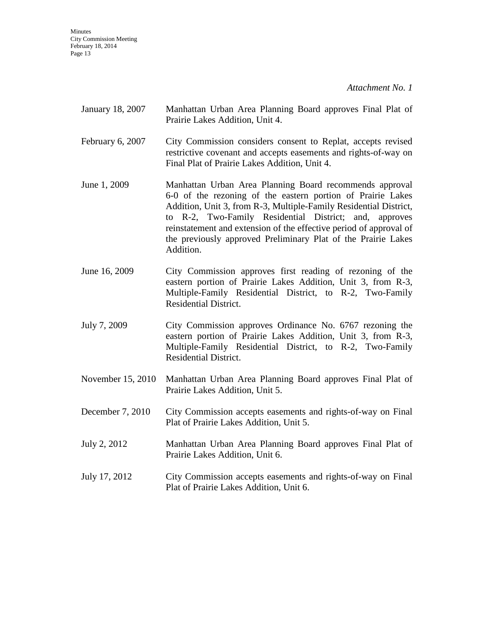**Minutes** City Commission Meeting February 18, 2014 Page 13

*Attachment No. 1* 

| January 18, 2007 | Manhattan Urban Area Planning Board approves Final Plat of |  |  |  |  |  |
|------------------|------------------------------------------------------------|--|--|--|--|--|
|                  | Prairie Lakes Addition, Unit 4.                            |  |  |  |  |  |

- February 6, 2007 City Commission considers consent to Replat, accepts revised restrictive covenant and accepts easements and rights-of-way on Final Plat of Prairie Lakes Addition, Unit 4.
- June 1, 2009 Manhattan Urban Area Planning Board recommends approval 6-0 of the rezoning of the eastern portion of Prairie Lakes Addition, Unit 3, from R-3, Multiple-Family Residential District, to R-2, Two-Family Residential District; and, approves reinstatement and extension of the effective period of approval of the previously approved Preliminary Plat of the Prairie Lakes Addition.
- June 16, 2009 City Commission approves first reading of rezoning of the eastern portion of Prairie Lakes Addition, Unit 3, from R-3, Multiple-Family Residential District, to R-2, Two-Family Residential District.
- July 7, 2009 City Commission approves Ordinance No. 6767 rezoning the eastern portion of Prairie Lakes Addition, Unit 3, from R-3, Multiple-Family Residential District, to R-2, Two-Family Residential District.
- November 15, 2010 Manhattan Urban Area Planning Board approves Final Plat of Prairie Lakes Addition, Unit 5.
- December 7, 2010 City Commission accepts easements and rights-of-way on Final Plat of Prairie Lakes Addition, Unit 5.
- July 2, 2012 Manhattan Urban Area Planning Board approves Final Plat of Prairie Lakes Addition, Unit 6.
- July 17, 2012 City Commission accepts easements and rights-of-way on Final Plat of Prairie Lakes Addition, Unit 6.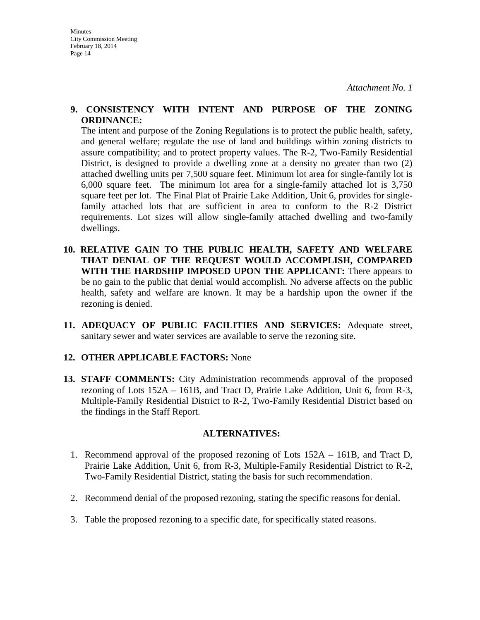#### **9. CONSISTENCY WITH INTENT AND PURPOSE OF THE ZONING ORDINANCE:**

The intent and purpose of the Zoning Regulations is to protect the public health, safety, and general welfare; regulate the use of land and buildings within zoning districts to assure compatibility; and to protect property values. The R-2, Two-Family Residential District, is designed to provide a dwelling zone at a density no greater than two (2) attached dwelling units per 7,500 square feet. Minimum lot area for single-family lot is 6,000 square feet. The minimum lot area for a single-family attached lot is 3,750 square feet per lot. The Final Plat of Prairie Lake Addition, Unit 6, provides for singlefamily attached lots that are sufficient in area to conform to the R-2 District requirements. Lot sizes will allow single-family attached dwelling and two-family dwellings.

- **10. RELATIVE GAIN TO THE PUBLIC HEALTH, SAFETY AND WELFARE THAT DENIAL OF THE REQUEST WOULD ACCOMPLISH, COMPARED WITH THE HARDSHIP IMPOSED UPON THE APPLICANT:** There appears to be no gain to the public that denial would accomplish. No adverse affects on the public health, safety and welfare are known. It may be a hardship upon the owner if the rezoning is denied.
- **11. ADEQUACY OF PUBLIC FACILITIES AND SERVICES:** Adequate street, sanitary sewer and water services are available to serve the rezoning site.

## **12. OTHER APPLICABLE FACTORS:** None

**13. STAFF COMMENTS:** City Administration recommends approval of the proposed rezoning of Lots 152A – 161B, and Tract D, Prairie Lake Addition, Unit 6, from R-3, Multiple-Family Residential District to R-2, Two-Family Residential District based on the findings in the Staff Report.

## **ALTERNATIVES:**

- 1. Recommend approval of the proposed rezoning of Lots 152A 161B, and Tract D, Prairie Lake Addition, Unit 6, from R-3, Multiple-Family Residential District to R-2, Two-Family Residential District, stating the basis for such recommendation.
- 2. Recommend denial of the proposed rezoning, stating the specific reasons for denial.
- 3. Table the proposed rezoning to a specific date, for specifically stated reasons.